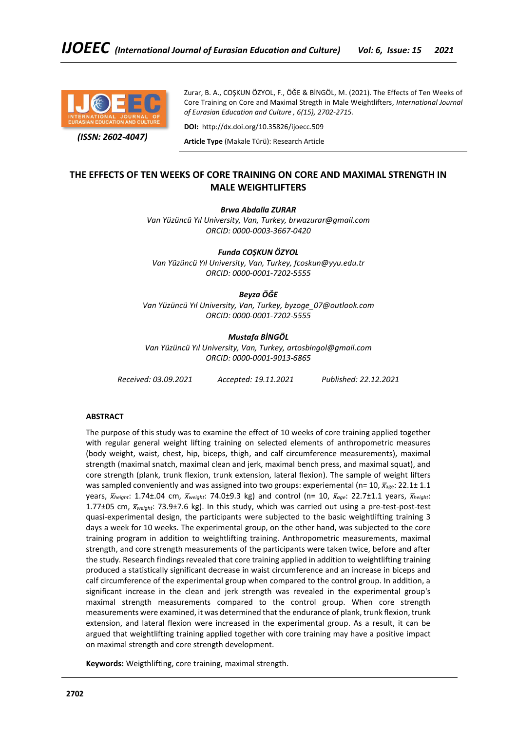

 *(ISSN: 2602-4047)*

Zurar, B. A., COŞKUN ÖZYOL, F., ÖĞE & BİNGÖL, M. (2021). The Effects of Ten Weeks of Core Training on Core and Maximal Stregth in Male Weightlifters, *International Journal of Eurasian Education and Culture , 6(15), 2702-2715.*

**DOI:** http://dx.doi.org/10.35826/ijoecc.509

**Article Type** (Makale Türü): Research Article

# **THE EFFECTS OF TEN WEEKS OF CORE TRAINING ON CORE AND MAXIMAL STRENGTH IN MALE WEIGHTLIFTERS**

*Brwa Abdalla ZURAR*

*Van Yüzüncü Yıl University, Van, Turkey, brwazurar@gmail.com ORCID: 0000-0003-3667-0420*

*Funda COŞKUN ÖZYOL Van Yüzüncü Yıl University, Van, Turkey, fcoskun@yyu.edu.tr ORCID: 0000-0001-7202-5555*

*Beyza ÖĞE*

*Van Yüzüncü Yıl University, Van, Turkey, byzoge\_07@outlook.com ORCID: 0000-0001-7202-5555*

*Mustafa BİNGÖL*

*Van Yüzüncü Yıl University, Van, Turkey, artosbingol@gmail.com ORCID: 0000-0001-9013-6865*

*Received: 03.09.2021 Accepted: 19.11.2021 Published: 22.12.2021*

# **ABSTRACT**

The purpose of this study was to examine the effect of 10 weeks of core training applied together with regular general weight lifting training on selected elements of anthropometric measures (body weight, waist, chest, hip, biceps, thigh, and calf circumference measurements), maximal strength (maximal snatch, maximal clean and jerk, maximal bench press, and maximal squat), and core strength (plank, trunk flexion, trunk extension, lateral flexion). The sample of weight lifters was sampled conveniently and was assigned into two groups: experiemental (n= 10,  $\bar{x}_{\text{age}}$ : 22.1± 1.1 years, *x̅height*: 1.74±.04 cm, *x̅weight*: 74.0±9.3 kg) and control (n= 10, *x̅age*: 22.7±1.1 years, *x̅height*: 1.77±05 cm,  $\bar{x}_{weight}$ : 73.9±7.6 kg). In this study, which was carried out using a pre-test-post-test quasi-experimental design, the participants were subjected to the basic weightlifting training 3 days a week for 10 weeks. The experimental group, on the other hand, was subjected to the core training program in addition to weightlifting training. Anthropometric measurements, maximal strength, and core strength measurements of the participants were taken twice, before and after the study. Research findings revealed that core training applied in addition to weightlifting training produced a statistically significant decrease in waist circumference and an increase in biceps and calf circumference of the experimental group when compared to the control group. In addition, a significant increase in the clean and jerk strength was revealed in the experimental group's maximal strength measurements compared to the control group. When core strength measurements were examined, it was determined that the endurance of plank, trunk flexion, trunk extension, and lateral flexion were increased in the experimental group. As a result, it can be argued that weightlifting training applied together with core training may have a positive impact on maximal strength and core strength development.

**Keywords:** Weigthlifting, core training, maximal strength.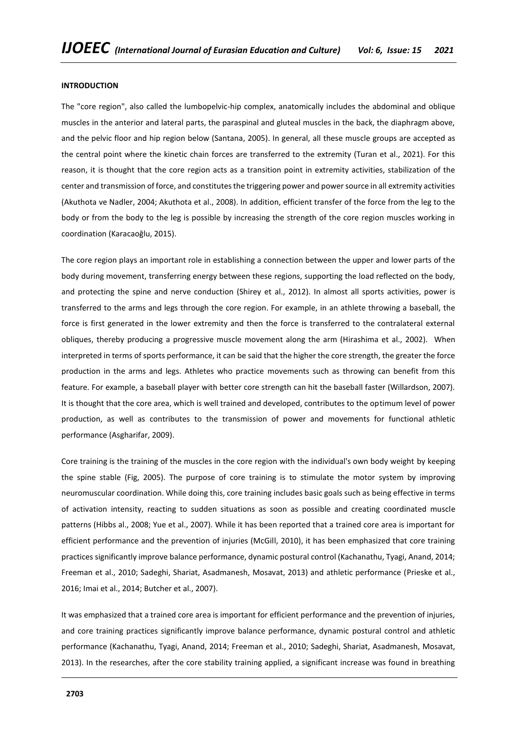#### **INTRODUCTION**

The "core region", also called the lumbopelvic-hip complex, anatomically includes the abdominal and oblique muscles in the anterior and lateral parts, the paraspinal and gluteal muscles in the back, the diaphragm above, and the pelvic floor and hip region below (Santana, 2005). In general, all these muscle groups are accepted as the central point where the kinetic chain forces are transferred to the extremity (Turan et al., 2021). For this reason, it is thought that the core region acts as a transition point in extremity activities, stabilization of the center and transmission of force, and constitutes the triggering power and power source in all extremity activities (Akuthota ve Nadler, 2004; Akuthota et al., 2008). In addition, efficient transfer of the force from the leg to the body or from the body to the leg is possible by increasing the strength of the core region muscles working in coordination (Karacaoğlu, 2015).

The core region plays an important role in establishing a connection between the upper and lower parts of the body during movement, transferring energy between these regions, supporting the load reflected on the body, and protecting the spine and nerve conduction (Shirey et al., 2012). In almost all sports activities, power is transferred to the arms and legs through the core region. For example, in an athlete throwing a baseball, the force is first generated in the lower extremity and then the force is transferred to the contralateral external obliques, thereby producing a progressive muscle movement along the arm (Hirashima et al., 2002). When interpreted in terms of sports performance, it can be said that the higher the core strength, the greater the force production in the arms and legs. Athletes who practice movements such as throwing can benefit from this feature. For example, a baseball player with better core strength can hit the baseball faster (Willardson, 2007). It is thought that the core area, which is well trained and developed, contributes to the optimum level of power production, as well as contributes to the transmission of power and movements for functional athletic performance (Asgharifar, 2009).

Core training is the training of the muscles in the core region with the individual's own body weight by keeping the spine stable (Fig, 2005). The purpose of core training is to stimulate the motor system by improving neuromuscular coordination. While doing this, core training includes basic goals such as being effective in terms of activation intensity, reacting to sudden situations as soon as possible and creating coordinated muscle patterns (Hibbs al., 2008; Yue et al., 2007). While it has been reported that a trained core area is important for efficient performance and the prevention of injuries (McGill, 2010), it has been emphasized that core training practices significantly improve balance performance, dynamic postural control (Kachanathu, Tyagi, Anand, 2014; Freeman et al., 2010; Sadeghi, Shariat, Asadmanesh, Mosavat, 2013) and athletic performance (Prieske et al., 2016; Imai et al., 2014; Butcher et al., 2007).

It was emphasized that a trained core area is important for efficient performance and the prevention of injuries, and core training practices significantly improve balance performance, dynamic postural control and athletic performance (Kachanathu, Tyagi, Anand, 2014; Freeman et al., 2010; Sadeghi, Shariat, Asadmanesh, Mosavat, 2013). In the researches, after the core stability training applied, a significant increase was found in breathing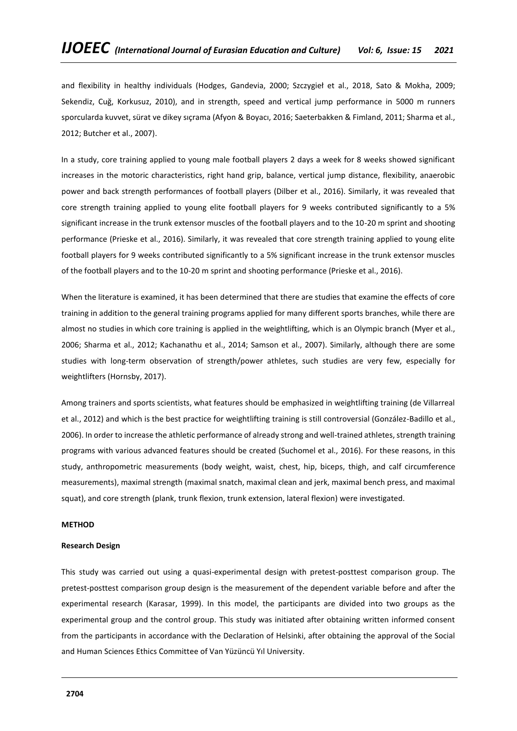and flexibility in healthy individuals (Hodges, Gandevia, 2000; Szczygieł et al., 2018, Sato & Mokha, 2009; Sekendiz, Cuğ, Korkusuz, 2010), and in strength, speed and vertical jump performance in 5000 m runners sporcularda kuvvet, sürat ve dikey sıçrama (Afyon & Boyacı, 2016; Saeterbakken & Fimland, 2011; Sharma et al., 2012; Butcher et al., 2007).

In a study, core training applied to young male football players 2 days a week for 8 weeks showed significant increases in the motoric characteristics, right hand grip, balance, vertical jump distance, flexibility, anaerobic power and back strength performances of football players (Dilber et al., 2016). Similarly, it was revealed that core strength training applied to young elite football players for 9 weeks contributed significantly to a 5% significant increase in the trunk extensor muscles of the football players and to the 10-20 m sprint and shooting performance (Prieske et al., 2016). Similarly, it was revealed that core strength training applied to young elite football players for 9 weeks contributed significantly to a 5% significant increase in the trunk extensor muscles of the football players and to the 10-20 m sprint and shooting performance (Prieske et al., 2016).

When the literature is examined, it has been determined that there are studies that examine the effects of core training in addition to the general training programs applied for many different sports branches, while there are almost no studies in which core training is applied in the weightlifting, which is an Olympic branch (Myer et al., 2006; Sharma et al., 2012; Kachanathu et al., 2014; Samson et al., 2007). Similarly, although there are some studies with long-term observation of strength/power athletes, such studies are very few, especially for weightlifters (Hornsby, 2017).

Among trainers and sports scientists, what features should be emphasized in weightlifting training (de Villarreal et al., 2012) and which is the best practice for weightlifting training is still controversial (González-Badillo et al., 2006). In order to increase the athletic performance of already strong and well-trained athletes, strength training programs with various advanced features should be created (Suchomel et al., 2016). For these reasons, in this study, anthropometric measurements (body weight, waist, chest, hip, biceps, thigh, and calf circumference measurements), maximal strength (maximal snatch, maximal clean and jerk, maximal bench press, and maximal squat), and core strength (plank, trunk flexion, trunk extension, lateral flexion) were investigated.

#### **METHOD**

#### **Research Design**

This study was carried out using a quasi-experimental design with pretest-posttest comparison group. The pretest-posttest comparison group design is the measurement of the dependent variable before and after the experimental research (Karasar, 1999). In this model, the participants are divided into two groups as the experimental group and the control group. This study was initiated after obtaining written informed consent from the participants in accordance with the Declaration of Helsinki, after obtaining the approval of the Social and Human Sciences Ethics Committee of Van Yüzüncü Yıl University.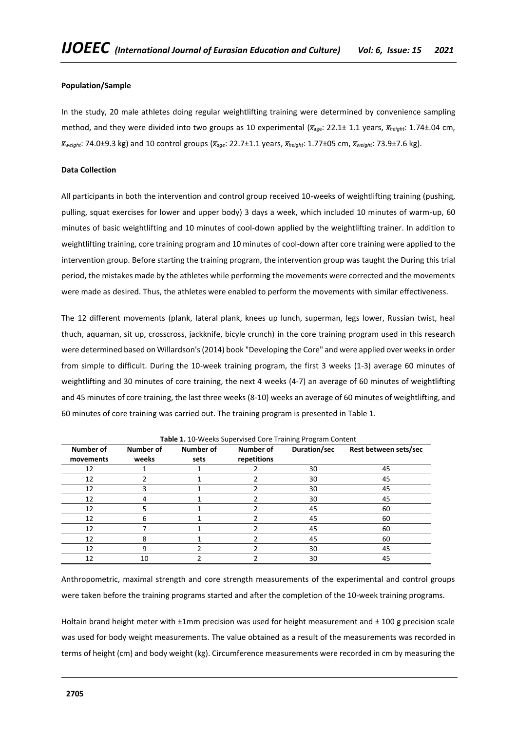# **Population/Sample**

In the study, 20 male athletes doing regular weightlifting training were determined by convenience sampling method, and they were divided into two groups as 10 experimental (*x̅*age: 22.1± 1.1 years, *x̅height*: 1.74±.04 cm, *x̅weight*: 74.0±9.3 kg) and 10 control groups (*xage ̅* : 22.7±1.1 years, *xheight ̅* : 1.77±05 cm, *x̅weight*: 73.9±7.6 kg).

## **Data Collection**

All participants in both the intervention and control group received 10-weeks of weightlifting training (pushing, pulling, squat exercises for lower and upper body) 3 days a week, which included 10 minutes of warm-up, 60 minutes of basic weightlifting and 10 minutes of cool-down applied by the weightlifting trainer. In addition to weightlifting training, core training program and 10 minutes of cool-down after core training were applied to the intervention group. Before starting the training program, the intervention group was taught the During this trial period, the mistakes made by the athletes while performing the movements were corrected and the movements were made as desired. Thus, the athletes were enabled to perform the movements with similar effectiveness.

The 12 different movements (plank, lateral plank, knees up lunch, superman, legs lower, Russian twist, heal thuch, aquaman, sit up, crosscross, jackknife, bicyle crunch) in the core training program used in this research were determined based on Willardson's (2014) book "Developing the Core" and were applied over weeks in order from simple to difficult. During the 10-week training program, the first 3 weeks (1-3) average 60 minutes of weightlifting and 30 minutes of core training, the next 4 weeks (4-7) an average of 60 minutes of weightlifting and 45 minutes of core training, the last three weeks (8-10) weeks an average of 60 minutes of weightlifting, and 60 minutes of core training was carried out. The training program is presented in Table 1.

| <b>Table 1:</b> 10 WEEKS Supervised Core Training Frogram Content |                    |                   |                          |              |                       |  |  |  |  |
|-------------------------------------------------------------------|--------------------|-------------------|--------------------------|--------------|-----------------------|--|--|--|--|
| Number of<br>movements                                            | Number of<br>weeks | Number of<br>sets | Number of<br>repetitions | Duration/sec | Rest between sets/sec |  |  |  |  |
| 12                                                                |                    |                   |                          | 30           | 45                    |  |  |  |  |
| 12                                                                |                    |                   |                          | 30           | 45                    |  |  |  |  |
| 12                                                                |                    |                   |                          | 30           | 45                    |  |  |  |  |
| 12                                                                |                    |                   |                          | 30           | 45                    |  |  |  |  |
| 12                                                                |                    |                   |                          | 45           | 60                    |  |  |  |  |
| 12                                                                | 6                  |                   |                          | 45           | 60                    |  |  |  |  |
| 12                                                                |                    |                   |                          | 45           | 60                    |  |  |  |  |
| 12                                                                |                    |                   |                          | 45           | 60                    |  |  |  |  |
| 12                                                                |                    |                   |                          | 30           | 45                    |  |  |  |  |
| 12                                                                | 10                 |                   |                          | 30           | 45                    |  |  |  |  |

**Table 1.** 10-Weeks Supervised Core Training Program Content

Anthropometric, maximal strength and core strength measurements of the experimental and control groups were taken before the training programs started and after the completion of the 10-week training programs.

Holtain brand height meter with  $\pm 1$ mm precision was used for height measurement and  $\pm 100$  g precision scale was used for body weight measurements. The value obtained as a result of the measurements was recorded in terms of height (cm) and body weight (kg). Circumference measurements were recorded in cm by measuring the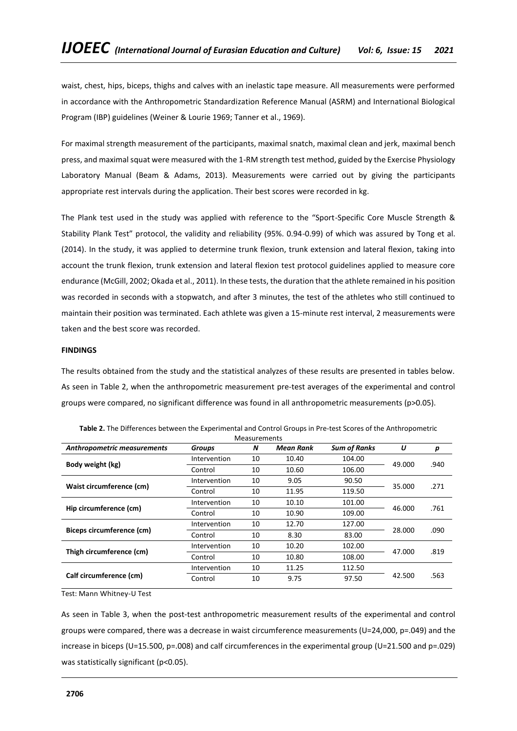waist, chest, hips, biceps, thighs and calves with an inelastic tape measure. All measurements were performed in accordance with the Anthropometric Standardization Reference Manual (ASRM) and International Biological Program (IBP) guidelines (Weiner & Lourie 1969; Tanner et al., 1969).

For maximal strength measurement of the participants, maximal snatch, maximal clean and jerk, maximal bench press, and maximal squat were measured with the 1-RM strength test method, guided by the Exercise Physiology Laboratory Manual (Beam & Adams, 2013). Measurements were carried out by giving the participants appropriate rest intervals during the application. Their best scores were recorded in kg.

The Plank test used in the study was applied with reference to the "Sport-Specific Core Muscle Strength & Stability Plank Test" protocol, the validity and reliability (95%. 0.94-0.99) of which was assured by Tong et al. (2014). In the study, it was applied to determine trunk flexion, trunk extension and lateral flexion, taking into account the trunk flexion, trunk extension and lateral flexion test protocol guidelines applied to measure core endurance (McGill, 2002; Okada et al., 2011). In these tests, the duration that the athlete remained in his position was recorded in seconds with a stopwatch, and after 3 minutes, the test of the athletes who still continued to maintain their position was terminated. Each athlete was given a 15-minute rest interval, 2 measurements were taken and the best score was recorded.

## **FINDINGS**

The results obtained from the study and the statistical analyzes of these results are presented in tables below. As seen in Table 2, when the anthropometric measurement pre-test averages of the experimental and control groups were compared, no significant difference was found in all anthropometric measurements (p>0.05).

| <b>Measurements</b>         |               |    |           |                     |        |      |  |  |
|-----------------------------|---------------|----|-----------|---------------------|--------|------|--|--|
| Anthropometric measurements | <b>Groups</b> | N  | Mean Rank | <b>Sum of Ranks</b> | U      | р    |  |  |
|                             | Intervention  | 10 | 10.40     | 104.00              | 49.000 |      |  |  |
| Body weight (kg)            | Control       | 10 | 10.60     | 106.00              |        | .940 |  |  |
|                             | Intervention  | 10 | 9.05      | 90.50               |        | .271 |  |  |
| Waist circumference (cm)    | Control       | 10 | 11.95     | 119.50              | 35.000 |      |  |  |
|                             | Intervention  | 10 | 10.10     | 101.00              |        | .761 |  |  |
| Hip circumference (cm)      | Control       | 10 | 10.90     | 109.00              | 46.000 |      |  |  |
|                             | Intervention  | 10 | 12.70     | 127.00              |        | .090 |  |  |
| Biceps circumference (cm)   | Control       | 10 | 8.30      | 83.00               | 28.000 |      |  |  |
|                             | Intervention  | 10 | 10.20     | 102.00              |        | .819 |  |  |
| Thigh circumference (cm)    | Control       | 10 | 10.80     | 108.00              | 47.000 |      |  |  |
|                             | Intervention  | 10 | 11.25     | 112.50              |        |      |  |  |
| Calf circumference (cm)     | Control       | 10 | 9.75      | 97.50               | 42.500 | .563 |  |  |
|                             |               |    |           |                     |        |      |  |  |

**Table 2.** The Differences between the Experimental and Control Groups in Pre-test Scores of the Anthropometric

Test: Mann Whitney-U Test

As seen in Table 3, when the post-test anthropometric measurement results of the experimental and control groups were compared, there was a decrease in waist circumference measurements (U=24,000, p=.049) and the increase in biceps (U=15.500, p=.008) and calf circumferences in the experimental group (U=21.500 and p=.029) was statistically significant (p<0.05).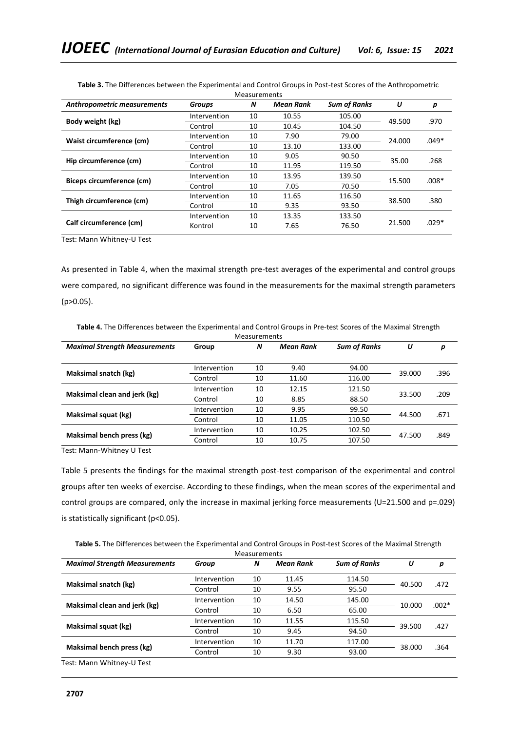| Anthropometric measurements | Groups       | N  | Mean Rank | <b>Sum of Ranks</b> | U      | р       |
|-----------------------------|--------------|----|-----------|---------------------|--------|---------|
|                             | Intervention | 10 | 10.55     | 105.00              | 49.500 | .970    |
| Body weight (kg)            | Control      | 10 | 10.45     | 104.50              |        |         |
|                             | Intervention | 10 | 7.90      | 79.00               | 24.000 | $.049*$ |
| Waist circumference (cm)    | Control      | 10 | 13.10     | 133.00              |        |         |
|                             | Intervention | 10 | 9.05      | 90.50               | 35.00  | .268    |
| Hip circumference (cm)      | Control      | 10 | 11.95     | 119.50              |        |         |
| Biceps circumference (cm)   | Intervention | 10 | 13.95     | 139.50              | 15.500 | $.008*$ |
|                             | Control      | 10 | 7.05      | 70.50               |        |         |
| Thigh circumference (cm)    | Intervention | 10 | 11.65     | 116.50              | 38.500 |         |
|                             | Control      | 10 | 9.35      | 93.50               |        | .380    |
|                             | Intervention | 10 | 13.35     | 133.50              |        |         |
| Calf circumference (cm)     | Kontrol      | 10 | 7.65      | 76.50               | 21.500 | $.029*$ |
|                             |              |    |           |                     |        |         |

**Table 3.** The Differences between the Experimental and Control Groups in Post-test Scores of the Anthropometric Measurements

Test: Mann Whitney-U Test

As presented in Table 4, when the maximal strength pre-test averages of the experimental and control groups were compared, no significant difference was found in the measurements for the maximal strength parameters (p>0.05).

| Table 4. The Differences between the Experimental and Control Groups in Pre-test Scores of the Maximal Strength |  |
|-----------------------------------------------------------------------------------------------------------------|--|
|-----------------------------------------------------------------------------------------------------------------|--|

| <b>Measurements</b>                  |              |    |           |                     |        |      |  |
|--------------------------------------|--------------|----|-----------|---------------------|--------|------|--|
| <b>Maximal Strength Measurements</b> | Group        | N  | Mean Rank | <b>Sum of Ranks</b> | U      | р    |  |
| Maksimal snatch (kg)                 | Intervention | 10 | 9.40      | 94.00               | 39.000 | .396 |  |
|                                      | Control      | 10 | 11.60     | 116.00              |        |      |  |
|                                      | Intervention | 10 | 12.15     | 121.50              | 33.500 | .209 |  |
| Maksimal clean and jerk (kg)         | Control      | 10 | 8.85      | 88.50               |        |      |  |
|                                      | Intervention | 10 | 9.95      | 99.50               | 44.500 | .671 |  |
| Maksimal squat (kg)                  | Control      | 10 | 11.05     | 110.50              |        |      |  |
|                                      | Intervention | 10 | 10.25     | 102.50              | 47.500 | .849 |  |
| Maksimal bench press (kg)            | Control      | 10 | 10.75     | 107.50              |        |      |  |

Test: Mann-Whitney U Test

Table 5 presents the findings for the maximal strength post-test comparison of the experimental and control groups after ten weeks of exercise. According to these findings, when the mean scores of the experimental and control groups are compared, only the increase in maximal jerking force measurements (U=21.500 and p=.029) is statistically significant (p<0.05).

**Table 5.** The Differences between the Experimental and Control Groups in Post-test Scores of the Maximal Strength

| <b>Measurements</b>                  |              |    |           |                     |        |         |  |
|--------------------------------------|--------------|----|-----------|---------------------|--------|---------|--|
| <b>Maximal Strength Measurements</b> | Group        | N  | Mean Rank | <b>Sum of Ranks</b> | U      | р       |  |
| Maksimal snatch (kg)                 | Intervention | 10 | 11.45     | 114.50              | 40.500 | .472    |  |
|                                      | Control      | 10 | 9.55      | 95.50               |        |         |  |
|                                      | Intervention | 10 | 14.50     | 145.00              |        | $.002*$ |  |
| Maksimal clean and jerk (kg)         | Control      | 10 | 6.50      | 65.00               | 10.000 |         |  |
|                                      | Intervention | 10 | 11.55     | 115.50              |        | .427    |  |
| Maksimal squat (kg)                  | Control      | 10 | 9.45      | 94.50               | 39.500 |         |  |
|                                      | Intervention | 10 | 11.70     | 117.00              |        | .364    |  |
| Maksimal bench press (kg)            | Control      | 10 | 9.30      | 93.00               | 38.000 |         |  |
| Test: Mann Whitney-U Test            |              |    |           |                     |        |         |  |

**2707**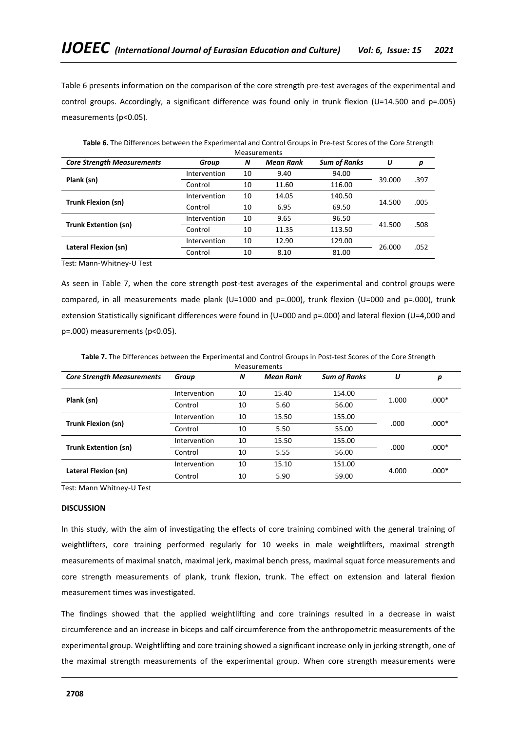Table 6 presents information on the comparison of the core strength pre-test averages of the experimental and control groups. Accordingly, a significant difference was found only in trunk flexion (U=14.500 and p=.005) measurements (p<0.05).

| <u>Measurements</u>               |              |    |           |                     |        |      |  |
|-----------------------------------|--------------|----|-----------|---------------------|--------|------|--|
| <b>Core Strength Measurements</b> | Group        | N  | Mean Rank | <b>Sum of Ranks</b> | U      | р    |  |
|                                   | Intervention | 10 | 9.40      | 94.00               |        | .397 |  |
| Plank (sn)                        | Control      | 10 | 11.60     | 116.00              | 39.000 |      |  |
|                                   | Intervention | 10 | 14.05     | 140.50              |        | .005 |  |
| <b>Trunk Flexion (sn)</b>         | Control      | 10 | 6.95      | 69.50               | 14.500 |      |  |
|                                   | Intervention | 10 | 9.65      | 96.50               |        | .508 |  |
| <b>Trunk Extention (sn)</b>       | Control      | 10 | 11.35     | 113.50              | 41.500 |      |  |
|                                   | Intervention | 10 | 12.90     | 129.00              |        | .052 |  |
| Lateral Flexion (sn)              | Control      | 10 | 8.10      | 81.00               | 26.000 |      |  |

**Table 6.** The Differences between the Experimental and Control Groups in Pre-test Scores of the Core Strength Measurements

Test: Mann-Whitney-U Test

As seen in Table 7, when the core strength post-test averages of the experimental and control groups were compared, in all measurements made plank (U=1000 and p=.000), trunk flexion (U=000 and p=.000), trunk extension Statistically significant differences were found in (U=000 and p=.000) and lateral flexion (U=4,000 and p=.000) measurements (p<0.05).

**Table 7.** The Differences between the Experimental and Control Groups in Post-test Scores of the Core Strength

| <b>Measurements</b>               |              |    |                  |                     |       |         |  |  |  |  |
|-----------------------------------|--------------|----|------------------|---------------------|-------|---------|--|--|--|--|
| <b>Core Strength Measurements</b> | Group        | N  | <b>Mean Rank</b> | <b>Sum of Ranks</b> | U     | р       |  |  |  |  |
| Plank (sn)                        | Intervention | 10 | 15.40            | 154.00              |       | $.000*$ |  |  |  |  |
|                                   | Control      | 10 | 5.60             | 56.00               | 1.000 |         |  |  |  |  |
| <b>Trunk Flexion (sn)</b>         | Intervention | 10 | 15.50            | 155.00              | .000  | $.000*$ |  |  |  |  |
|                                   | Control      | 10 | 5.50             | 55.00               |       |         |  |  |  |  |
| <b>Trunk Extention (sn)</b>       | Intervention | 10 | 15.50            | 155.00              | .000  | $.000*$ |  |  |  |  |
|                                   | Control      | 10 | 5.55             | 56.00               |       |         |  |  |  |  |
| Lateral Flexion (sn)              | Intervention | 10 | 15.10            | 151.00              |       | $.000*$ |  |  |  |  |
|                                   | Control      | 10 | 5.90             | 59.00               | 4.000 |         |  |  |  |  |

Test: Mann Whitney-U Test

## **DISCUSSION**

In this study, with the aim of investigating the effects of core training combined with the general training of weightlifters, core training performed regularly for 10 weeks in male weightlifters, maximal strength measurements of maximal snatch, maximal jerk, maximal bench press, maximal squat force measurements and core strength measurements of plank, trunk flexion, trunk. The effect on extension and lateral flexion measurement times was investigated.

The findings showed that the applied weightlifting and core trainings resulted in a decrease in waist circumference and an increase in biceps and calf circumference from the anthropometric measurements of the experimental group. Weightlifting and core training showed a significant increase only in jerking strength, one of the maximal strength measurements of the experimental group. When core strength measurements were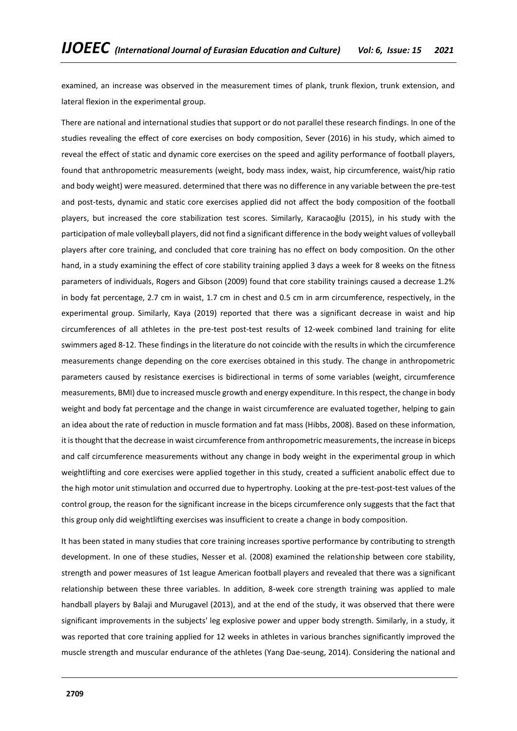examined, an increase was observed in the measurement times of plank, trunk flexion, trunk extension, and lateral flexion in the experimental group.

There are national and international studies that support or do not parallel these research findings. In one of the studies revealing the effect of core exercises on body composition, Sever (2016) in his study, which aimed to reveal the effect of static and dynamic core exercises on the speed and agility performance of football players, found that anthropometric measurements (weight, body mass index, waist, hip circumference, waist/hip ratio and body weight) were measured. determined that there was no difference in any variable between the pre-test and post-tests, dynamic and static core exercises applied did not affect the body composition of the football players, but increased the core stabilization test scores. Similarly, Karacaoğlu (2015), in his study with the participation of male volleyball players, did not find a significant difference in the body weight values of volleyball players after core training, and concluded that core training has no effect on body composition. On the other hand, in a study examining the effect of core stability training applied 3 days a week for 8 weeks on the fitness parameters of individuals, Rogers and Gibson (2009) found that core stability trainings caused a decrease 1.2% in body fat percentage, 2.7 cm in waist, 1.7 cm in chest and 0.5 cm in arm circumference, respectively, in the experimental group. Similarly, Kaya (2019) reported that there was a significant decrease in waist and hip circumferences of all athletes in the pre-test post-test results of 12-week combined land training for elite swimmers aged 8-12. These findings in the literature do not coincide with the results in which the circumference measurements change depending on the core exercises obtained in this study. The change in anthropometric parameters caused by resistance exercises is bidirectional in terms of some variables (weight, circumference measurements, BMI) due to increased muscle growth and energy expenditure. In this respect, the change in body weight and body fat percentage and the change in waist circumference are evaluated together, helping to gain an idea about the rate of reduction in muscle formation and fat mass (Hibbs, 2008). Based on these information, it is thought that the decrease in waist circumference from anthropometric measurements, the increase in biceps and calf circumference measurements without any change in body weight in the experimental group in which weightlifting and core exercises were applied together in this study, created a sufficient anabolic effect due to the high motor unit stimulation and occurred due to hypertrophy. Looking at the pre-test-post-test values of the control group, the reason for the significant increase in the biceps circumference only suggests that the fact that this group only did weightlifting exercises was insufficient to create a change in body composition.

It has been stated in many studies that core training increases sportive performance by contributing to strength development. In one of these studies, Nesser et al. (2008) examined the relationship between core stability, strength and power measures of 1st league American football players and revealed that there was a significant relationship between these three variables. In addition, 8-week core strength training was applied to male handball players by Balaji and Murugavel (2013), and at the end of the study, it was observed that there were significant improvements in the subjects' leg explosive power and upper body strength. Similarly, in a study, it was reported that core training applied for 12 weeks in athletes in various branches significantly improved the muscle strength and muscular endurance of the athletes (Yang Dae-seung, 2014). Considering the national and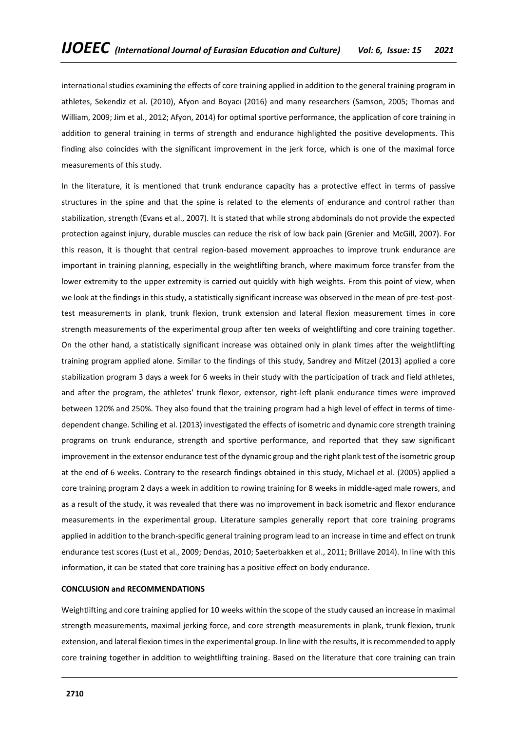international studies examining the effects of core training applied in addition to the general training program in athletes, Sekendiz et al. (2010), Afyon and Boyacı (2016) and many researchers (Samson, 2005; Thomas and William, 2009; Jim et al., 2012; Afyon, 2014) for optimal sportive performance, the application of core training in addition to general training in terms of strength and endurance highlighted the positive developments. This finding also coincides with the significant improvement in the jerk force, which is one of the maximal force measurements of this study.

In the literature, it is mentioned that trunk endurance capacity has a protective effect in terms of passive structures in the spine and that the spine is related to the elements of endurance and control rather than stabilization, strength (Evans et al., 2007). It is stated that while strong abdominals do not provide the expected protection against injury, durable muscles can reduce the risk of low back pain (Grenier and McGill, 2007). For this reason, it is thought that central region-based movement approaches to improve trunk endurance are important in training planning, especially in the weightlifting branch, where maximum force transfer from the lower extremity to the upper extremity is carried out quickly with high weights. From this point of view, when we look at the findings in this study, a statistically significant increase was observed in the mean of pre-test-posttest measurements in plank, trunk flexion, trunk extension and lateral flexion measurement times in core strength measurements of the experimental group after ten weeks of weightlifting and core training together. On the other hand, a statistically significant increase was obtained only in plank times after the weightlifting training program applied alone. Similar to the findings of this study, Sandrey and Mitzel (2013) applied a core stabilization program 3 days a week for 6 weeks in their study with the participation of track and field athletes, and after the program, the athletes' trunk flexor, extensor, right-left plank endurance times were improved between 120% and 250%. They also found that the training program had a high level of effect in terms of timedependent change. Schiling et al. (2013) investigated the effects of isometric and dynamic core strength training programs on trunk endurance, strength and sportive performance, and reported that they saw significant improvement in the extensor endurance test of the dynamic group and the right plank test of the isometric group at the end of 6 weeks. Contrary to the research findings obtained in this study, Michael et al. (2005) applied a core training program 2 days a week in addition to rowing training for 8 weeks in middle-aged male rowers, and as a result of the study, it was revealed that there was no improvement in back isometric and flexor endurance measurements in the experimental group. Literature samples generally report that core training programs applied in addition to the branch-specific general training program lead to an increase in time and effect on trunk endurance test scores (Lust et al., 2009; Dendas, 2010; Saeterbakken et al., 2011; Brillave 2014). In line with this information, it can be stated that core training has a positive effect on body endurance.

## **CONCLUSION and RECOMMENDATIONS**

Weightlifting and core training applied for 10 weeks within the scope of the study caused an increase in maximal strength measurements, maximal jerking force, and core strength measurements in plank, trunk flexion, trunk extension, and lateral flexion times in the experimental group. In line with the results, it is recommended to apply core training together in addition to weightlifting training. Based on the literature that core training can train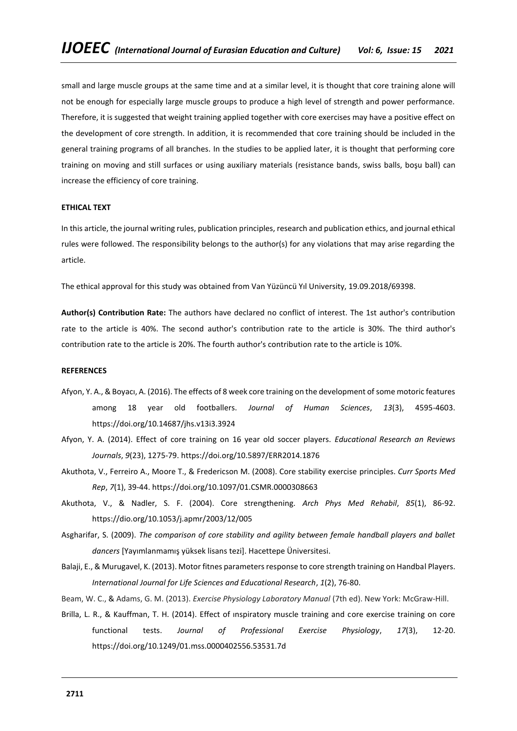small and large muscle groups at the same time and at a similar level, it is thought that core training alone will not be enough for especially large muscle groups to produce a high level of strength and power performance. Therefore, it is suggested that weight training applied together with core exercises may have a positive effect on the development of core strength. In addition, it is recommended that core training should be included in the general training programs of all branches. In the studies to be applied later, it is thought that performing core training on moving and still surfaces or using auxiliary materials (resistance bands, swiss balls, boşu ball) can increase the efficiency of core training.

# **ETHICAL TEXT**

In this article, the journal writing rules, publication principles, research and publication ethics, and journal ethical rules were followed. The responsibility belongs to the author(s) for any violations that may arise regarding the article.

The ethical approval for this study was obtained from Van Yüzüncü Yıl University, 19.09.2018/69398.

**Author(s) Contribution Rate:** The authors have declared no conflict of interest. The 1st author's contribution rate to the article is 40%. The second author's contribution rate to the article is 30%. The third author's contribution rate to the article is 20%. The fourth author's contribution rate to the article is 10%.

## **REFERENCES**

- Afyon, Y. A., & Boyacı, A. (2016). The effects of 8 week core training on the development of some motoric features among 18 year old footballers. *Journal of Human Sciences*, *13*(3), 4595-4603. https://doi.org/10.14687/jhs.v13i3.3924
- Afyon, Y. A. (2014). Effect of core training on 16 year old soccer players. *Educational Research an Reviews Journals*, *9*(23), 1275-79. https://doi.org/10.5897/ERR2014.1876
- Akuthota, V., Ferreiro A., Moore T., & Fredericson M. (2008). Core stability exercise principles. *Curr Sports Med Rep*, *7*(1), 39-44. https://doi.org/10.1097/01.CSMR.0000308663
- Akuthota, V., & Nadler, S. F. (2004). Core strengthening. *Arch Phys Med Rehabil*, *85*(1), 86-92. https://dio.org/10.1053/j.apmr/2003/12/005
- Asgharifar, S. (2009). *The comparison of core stability and agility between female handball players and ballet dancers* [Yayımlanmamış yüksek lisans tezi]. Hacettepe Üniversitesi.
- Balaji, E., & Murugavel, K. (2013). Motor fitnes parameters response to core strength training on Handbal Players. *International Journal for Life Sciences and Educational Research*, *1*(2), 76-80.
- Beam, W. C., & Adams, G. M. (2013). *Exercise Physiology Laboratory Manual* (7th ed). New York: McGraw-Hill.
- Brilla, L. R., & Kauffman, T. H. (2014). Effect of ınspiratory muscle training and core exercise training on core functional tests. *Journal of Professional Exercise Physiology*, *17*(3), 12-20. https://doi.org/10.1249/01.mss.0000402556.53531.7d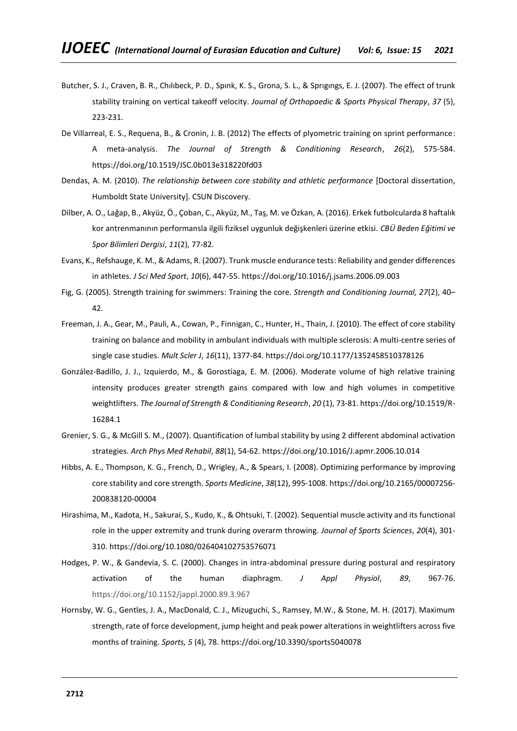- Butcher, S. J., Craven, B. R., Chılıbeck, P. D., Spınk, K. S., Grona, S. L., & Sprıgıngs, E. J. (2007). The effect of trunk stability training on vertical takeoff velocity. *Journal of Orthopaedic & Sports Physical Therapy*, *37* (5), 223-231.
- De Villarreal, E. S., Requena, B., & Cronin, J. B. (2012) The effects of plyometric training on sprint performance: A meta-analysis. *The Journal of Strength & Conditioning Research*, *26*(2), 575-584. https://doi.org/10.1519/JSC.0b013e318220fd03
- Dendas, A. M. (2010). *The relationship between core stability and athletic performance* [Doctoral dissertation, Humboldt State University]. CSUN Discovery.
- Dilber, A. O., Lağap, B., Akyüz, Ö., Çoban, C., Akyüz, M., Taş, M. ve Özkan, A. (2016). Erkek futbolcularda 8 haftalık kor antrenmanının performansla ilgili fiziksel uygunluk değişkenleri üzerine etkisi. *CBÜ Beden Eğitimi ve Spor Bilimleri Dergisi*, *11*(2), 77-82.
- Evans, K., Refshauge, K. M., & Adams, R. (2007). Trunk muscle endurance tests: Reliability and gender differences in athletes. *J Sci Med Sport*, *10*(6), 447-55. https://doi.org/10.1016/j.jsams.2006.09.003
- Fig, G. (2005). Strength training for swimmers: Training the core. *Strength and Conditioning Journal, 27*(2), 40– 42.
- Freeman, J. A., Gear, M., Pauli, A., Cowan, P., Finnigan, C., Hunter, H., Thain, J. (2010). The effect of core stability training on balance and mobility in ambulant individuals with multiple sclerosis: A multi-centre series of single case studies. *Mult Scler J*, *16*(11), 1377-84. https://doi.org/10.1177/1352458510378126
- González-Badillo, J. J., Izquierdo, M., & Gorostiaga, E. M. (2006). Moderate volume of high relative training intensity produces greater strength gains compared with low and high volumes in competitive weightlifters. *The Journal of Strength & Conditioning Research*, *20* (1), 73-81. https://doi.org/10.1519/R-16284.1
- Grenier, S. G., & McGill S. M., (2007). Quantification of lumbal stability by using 2 different abdominal activation strategies. *Arch Phys Med Rehabil*, *88*(1), 54-62. https://doi.org/10.1016/J.apmr.2006.10.014
- Hibbs, A. E., Thompson, K. G., French, D., Wrigley, A., & Spears, I. (2008). Optimizing performance by improving core stability and core strength. *Sports Medicine*, *38*(12), 995-1008. https://doi.org/10.2165/00007256- 200838120-00004
- Hirashima, M., Kadota, H., Sakurai, S., Kudo, K., & Ohtsuki, T. (2002). Sequential muscle activity and its functional role in the upper extremity and trunk during overarm throwing. *Journal of Sports Sciences*, *20*(4), 301- 310. https://doi.org/10.1080/026404102753576071
- Hodges, P. W., & Gandevia, S. C. (2000). Changes in intra-abdominal pressure during postural and respiratory activation of the human diaphragm. *J Appl Physiol*, *89*, 967-76. https://doi.org/10.1152/jappl.2000.89.3.967
- Hornsby, W. G., Gentles, J. A., MacDonald, C. J., Mizuguchi, S., Ramsey, M.W., & Stone, M. H. (2017). Maximum strength, rate of force development, jump height and peak power alterations in weightlifters across five months of training. *Sports, 5* (4), 78. https://doi.org/10.3390/sports5040078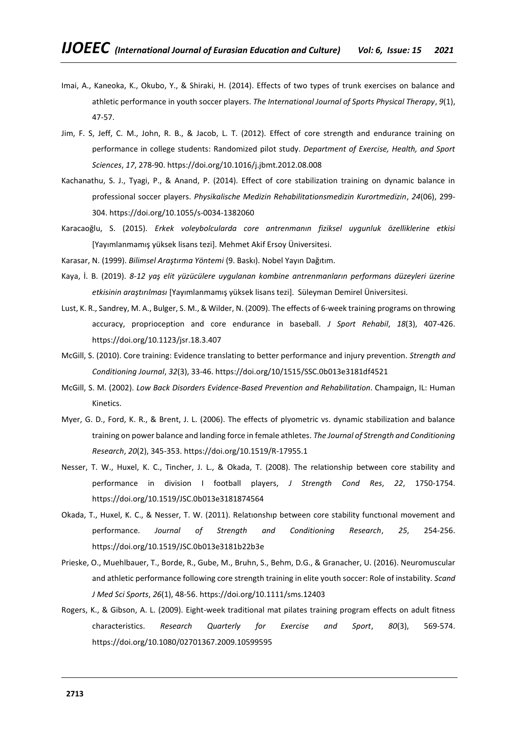- Imai, A., Kaneoka, K., Okubo, Y., & Shiraki, H. (2014). Effects of two types of trunk exercises on balance and athletic performance in youth soccer players. *The International Journal of Sports Physical Therapy*, *9*(1), 47-57.
- Jim, F. S, Jeff, C. M., John, R. B., & Jacob, L. T. (2012). Effect of core strength and endurance training on performance in college students: Randomized pilot study. *Department of Exercise, Health, and Sport Sciences*, *17*, 278-90. https://doi.org/10.1016/j.jbmt.2012.08.008
- Kachanathu, S. J., Tyagi, P., & Anand, P. (2014). Effect of core stabilization training on dynamic balance in professional soccer players. *Physikalische Medizin Rehabilitationsmedizin Kurortmedizin*, *24*(06), 299- 304. https://doi.org/10.1055/s-0034-1382060
- Karacaoğlu, S. (2015). *Erkek voleybolcularda core antrenmanın fiziksel uygunluk özelliklerine etkisi* [Yayımlanmamış yüksek lisans tezi]. Mehmet Akif Ersoy Üniversitesi.
- Karasar, N. (1999). *Bilimsel Araştırma Yöntemi* (9. Baskı). Nobel Yayın Dağıtım.
- Kaya, İ. B. (2019). *8-12 yaş elit yüzücülere uygulanan kombine antrenmanların performans düzeyleri üzerine etkisinin araştırılması* [Yayımlanmamış yüksek lisans tezi]. Süleyman Demirel Üniversitesi.
- Lust, K. R., Sandrey, M. A., Bulger, S. M., & Wilder, N. (2009). The effects of 6-week training programs on throwing accuracy, proprioception and core endurance in baseball. *J Sport Rehabil*, *18*(3), 407-426. https://doi.org/10.1123/jsr.18.3.407
- McGill, S. (2010). Core training: Evidence translating to better performance and injury prevention. *Strength and Conditioning Journal*, *32*(3), 33-46. https://doi.org/10/1515/SSC.0b013e3181df4521
- McGill, S. M. (2002). *Low Back Disorders Evidence-Based Prevention and Rehabilitation*. Champaign, IL: Human Kinetics.
- Myer, G. D., Ford, K. R., & Brent, J. L. (2006). The effects of plyometric vs. dynamic stabilization and balance training on power balance and landing force in female athletes. *The Journal of Strength and Conditioning Research*, *20*(2), 345-353. https://doi.org/10.1519/R-17955.1
- Nesser, T. W., Huxel, K. C., Tincher, J. L., & Okada, T. (2008). The relationship between core stability and performance in division I football players, *J Strength Cond Res*, *22*, 1750-1754. https://doi.org/10.1519/JSC.0b013e3181874564
- Okada, T., Huxel, K. C., & Nesser, T. W. (2011). Relatıonshıp between core stability functıonal movement and performance. *Journal of Strength and Conditioning Research*, *25*, 254-256. https://doi.org/10.1519/JSC.0b013e3181b22b3e
- Prieske, O., Muehlbauer, T., Borde, R., Gube, M., Bruhn, S., Behm, D.G., & Granacher, U. (2016). Neuromuscular and athletic performance following core strength training in elite youth soccer: Role of instability. *Scand J Med Sci Sports*, *26*(1), 48-56. https://doi.org/10.1111/sms.12403
- Rogers, K., & Gibson, A. L. (2009). Eight-week traditional mat pilates training program effects on adult fitness characteristics. *Research Quarterly for Exercise and Sport*, *80*(3), 569-574. https://doi.org/10.1080/02701367.2009.10599595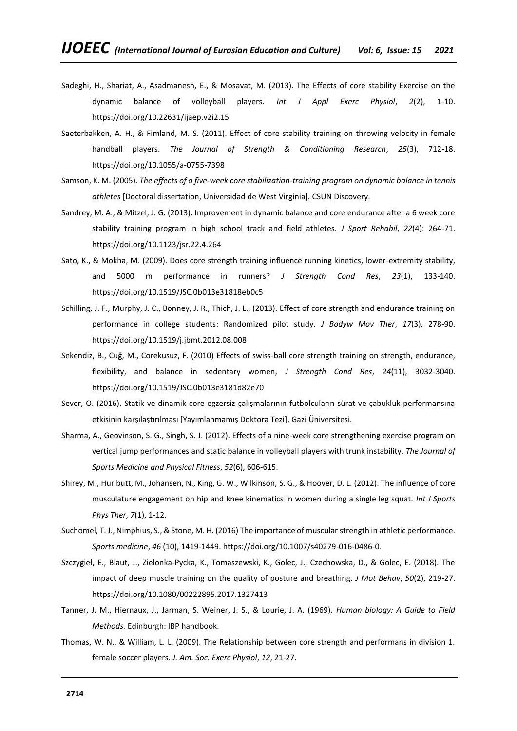- Sadeghi, H., Shariat, A., Asadmanesh, E., & Mosavat, M. (2013). The Effects of core stability Exercise on the dynamic balance of volleyball players. *Int J Appl Exerc Physiol*, *2*(2), 1-10. https://doi.org/10.22631/ijaep.v2i2.15
- Saeterbakken, A. H., & Fimland, M. S. (2011). Effect of core stability training on throwing velocity in female handball players. *The Journal of Strength & Conditioning Research*, *25*(3), 712-18. https://doi.org/10.1055/a-0755-7398
- Samson, K. M. (2005). *The effects of a five-week core stabilization-training program on dynamic balance in tennis athletes* [Doctoral dissertation, Universidad de West Virginia]. CSUN Discovery.
- Sandrey, M. A., & Mitzel, J. G. (2013). Improvement in dynamic balance and core endurance after a 6 week core stability training program in high school track and field athletes. *J Sport Rehabil*, *22*(4): 264-71. https://doi.org/10.1123/jsr.22.4.264
- Sato, K., & Mokha, M. (2009). Does core strength training influence running kinetics, lower-extremity stability, and 5000 m performance in runners? *J Strength Cond Res*, *23*(1), 133-140. https://doi.org/10.1519/JSC.0b013e31818eb0c5
- Schilling, J. F., Murphy, J. C., Bonney, J. R., Thich, J. L., (2013). Effect of core strength and endurance training on performance in college students: Randomized pilot study. *J Bodyw Mov Ther*, *17*(3), 278-90. https://doi.org/10.1519/j.jbmt.2012.08.008
- Sekendiz, B., Cuğ, M., Corekusuz, F. (2010) Effects of swiss-ball core strength training on strength, endurance, flexibility, and balance in sedentary women, *J Strength Cond Res*, *24*(11), 3032-3040. https://doi.org/10.1519/JSC.0b013e3181d82e70
- Sever, O. (2016). Statik ve dinamik core egzersiz çalışmalarının futbolcuların sürat ve çabukluk performansına etkisinin karşılaştırılması [Yayımlanmamış Doktora Tezi]. Gazi Üniversitesi.
- Sharma, A., Geovinson, S. G., Singh, S. J. (2012). Effects of a nine-week core strengthening exercise program on vertical jump performances and static balance in volleyball players with trunk instability. *The Journal of Sports Medicine and Physical Fitness*, *52*(6), 606-615.
- Shirey, M., Hurlbutt, M., Johansen, N., King, G. W., Wilkinson, S. G., & Hoover, D. L. (2012). The influence of core musculature engagement on hip and knee kinematics in women during a single leg squat. *Int J Sports Phys Ther*, *7*(1), 1-12.
- Suchomel, T. J., Nimphius, S., & Stone, M. H. (2016) The importance of muscular strength in athletic performance. *Sports medicine*, *46* (10), 1419-1449. https://doi.org/10.1007/s40279-016-0486-0.
- Szczygieł, E., Blaut, J., Zielonka-Pycka, K., Tomaszewski, K., Golec, J., Czechowska, D., & Golec, E. (2018). The impact of deep muscle training on the quality of posture and breathing. *J Mot Behav*, *50*(2), 219-27. https://doi.org/10.1080/00222895.2017.1327413
- Tanner, J. M., Hiernaux, J., Jarman, S. Weiner, J. S., & Lourie, J. A. (1969). *Human biology: A Guide to Field Methods.* Edinburgh: IBP handbook.
- Thomas, W. N., & William, L. L. (2009). The Relationship between core strength and performans in division 1. female soccer players. *J. Am. Soc. Exerc Physiol*, *12*, 21-27.